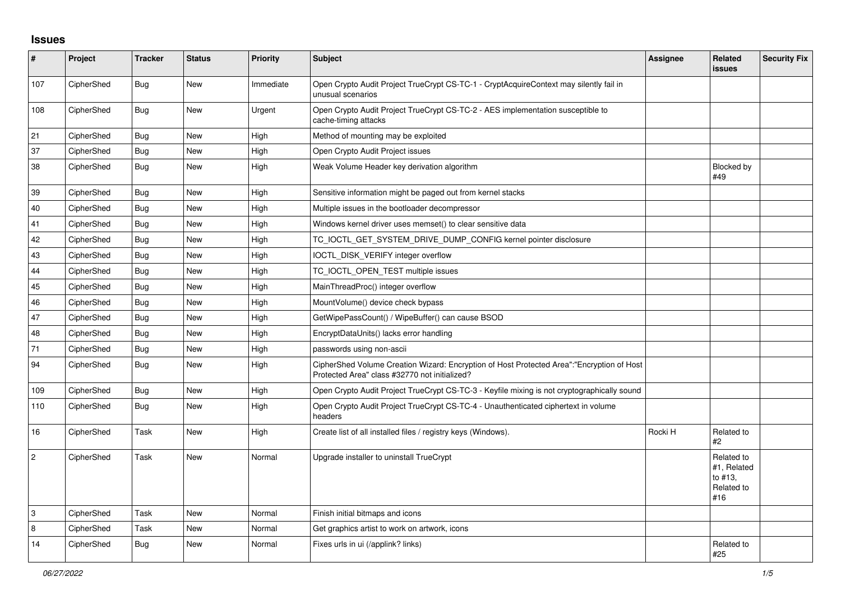## **Issues**

| #              | Project    | <b>Tracker</b> | <b>Status</b> | Priority  | <b>Subject</b>                                                                                                                             | <b>Assignee</b> | Related<br><b>issues</b>                                  | <b>Security Fix</b> |
|----------------|------------|----------------|---------------|-----------|--------------------------------------------------------------------------------------------------------------------------------------------|-----------------|-----------------------------------------------------------|---------------------|
| 107            | CipherShed | Bug            | New           | Immediate | Open Crypto Audit Project TrueCrypt CS-TC-1 - CryptAcquireContext may silently fail in<br>unusual scenarios                                |                 |                                                           |                     |
| 108            | CipherShed | <b>Bug</b>     | New           | Urgent    | Open Crypto Audit Project TrueCrypt CS-TC-2 - AES implementation susceptible to<br>cache-timing attacks                                    |                 |                                                           |                     |
| 21             | CipherShed | Bug            | <b>New</b>    | High      | Method of mounting may be exploited                                                                                                        |                 |                                                           |                     |
| 37             | CipherShed | <b>Bug</b>     | <b>New</b>    | High      | Open Crypto Audit Project issues                                                                                                           |                 |                                                           |                     |
| 38             | CipherShed | <b>Bug</b>     | New           | High      | Weak Volume Header key derivation algorithm                                                                                                |                 | Blocked by<br>#49                                         |                     |
| 39             | CipherShed | <b>Bug</b>     | <b>New</b>    | High      | Sensitive information might be paged out from kernel stacks                                                                                |                 |                                                           |                     |
| 40             | CipherShed | <b>Bug</b>     | New           | High      | Multiple issues in the bootloader decompressor                                                                                             |                 |                                                           |                     |
| 41             | CipherShed | <b>Bug</b>     | <b>New</b>    | High      | Windows kernel driver uses memset() to clear sensitive data                                                                                |                 |                                                           |                     |
| 42             | CipherShed | Bug            | <b>New</b>    | High      | TC_IOCTL_GET_SYSTEM_DRIVE_DUMP_CONFIG kernel pointer disclosure                                                                            |                 |                                                           |                     |
| 43             | CipherShed | <b>Bug</b>     | <b>New</b>    | High      | IOCTL_DISK_VERIFY integer overflow                                                                                                         |                 |                                                           |                     |
| 44             | CipherShed | <b>Bug</b>     | New           | High      | TC IOCTL OPEN TEST multiple issues                                                                                                         |                 |                                                           |                     |
| 45             | CipherShed | Bug            | New           | High      | MainThreadProc() integer overflow                                                                                                          |                 |                                                           |                     |
| 46             | CipherShed | Bug            | New           | High      | MountVolume() device check bypass                                                                                                          |                 |                                                           |                     |
| 47             | CipherShed | <b>Bug</b>     | New           | High      | GetWipePassCount() / WipeBuffer() can cause BSOD                                                                                           |                 |                                                           |                     |
| 48             | CipherShed | Bug            | New           | High      | EncryptDataUnits() lacks error handling                                                                                                    |                 |                                                           |                     |
| 71             | CipherShed | Bug            | New           | High      | passwords using non-ascii                                                                                                                  |                 |                                                           |                     |
| 94             | CipherShed | <b>Bug</b>     | New           | High      | CipherShed Volume Creation Wizard: Encryption of Host Protected Area":"Encryption of Host<br>Protected Area" class #32770 not initialized? |                 |                                                           |                     |
| 109            | CipherShed | Bug            | <b>New</b>    | High      | Open Crypto Audit Project TrueCrypt CS-TC-3 - Keyfile mixing is not cryptographically sound                                                |                 |                                                           |                     |
| 110            | CipherShed | <b>Bug</b>     | <b>New</b>    | High      | Open Crypto Audit Project TrueCrypt CS-TC-4 - Unauthenticated ciphertext in volume<br>headers                                              |                 |                                                           |                     |
| 16             | CipherShed | Task           | <b>New</b>    | High      | Create list of all installed files / registry keys (Windows).                                                                              | Rocki H         | Related to<br>#2                                          |                     |
| $\overline{2}$ | CipherShed | Task           | <b>New</b>    | Normal    | Upgrade installer to uninstall TrueCrypt                                                                                                   |                 | Related to<br>#1, Related<br>to #13.<br>Related to<br>#16 |                     |
| 3              | CipherShed | Task           | <b>New</b>    | Normal    | Finish initial bitmaps and icons                                                                                                           |                 |                                                           |                     |
| 8              | CipherShed | Task           | New           | Normal    | Get graphics artist to work on artwork, icons                                                                                              |                 |                                                           |                     |
| 14             | CipherShed | Bug            | New           | Normal    | Fixes urls in ui (/applink? links)                                                                                                         |                 | Related to<br>#25                                         |                     |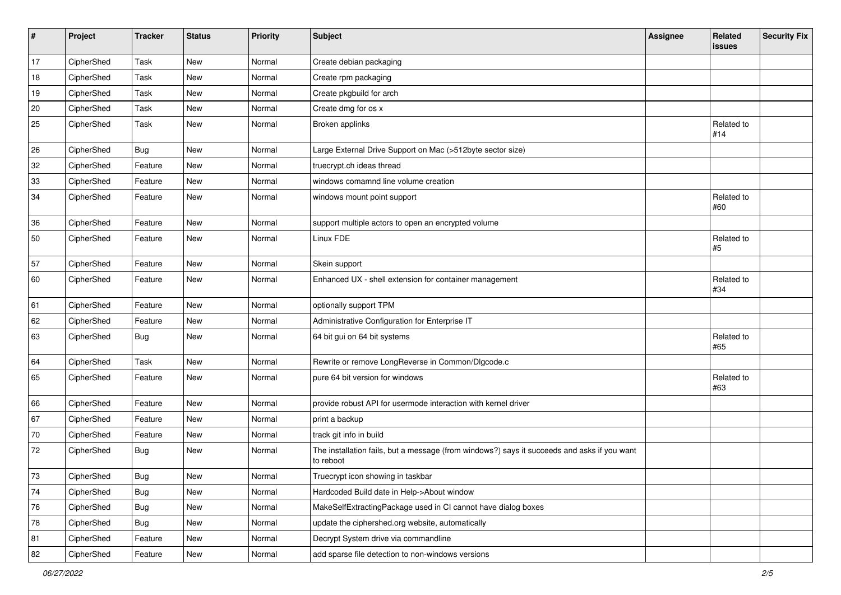| #  | Project    | <b>Tracker</b> | <b>Status</b> | <b>Priority</b> | <b>Subject</b>                                                                                           | <b>Assignee</b> | Related<br>issues | <b>Security Fix</b> |
|----|------------|----------------|---------------|-----------------|----------------------------------------------------------------------------------------------------------|-----------------|-------------------|---------------------|
| 17 | CipherShed | Task           | New           | Normal          | Create debian packaging                                                                                  |                 |                   |                     |
| 18 | CipherShed | Task           | New           | Normal          | Create rpm packaging                                                                                     |                 |                   |                     |
| 19 | CipherShed | Task           | New           | Normal          | Create pkgbuild for arch                                                                                 |                 |                   |                     |
| 20 | CipherShed | Task           | New           | Normal          | Create dmg for os x                                                                                      |                 |                   |                     |
| 25 | CipherShed | Task           | New           | Normal          | Broken applinks                                                                                          |                 | Related to<br>#14 |                     |
| 26 | CipherShed | <b>Bug</b>     | New           | Normal          | Large External Drive Support on Mac (>512byte sector size)                                               |                 |                   |                     |
| 32 | CipherShed | Feature        | New           | Normal          | truecrypt.ch ideas thread                                                                                |                 |                   |                     |
| 33 | CipherShed | Feature        | New           | Normal          | windows comamnd line volume creation                                                                     |                 |                   |                     |
| 34 | CipherShed | Feature        | New           | Normal          | windows mount point support                                                                              |                 | Related to<br>#60 |                     |
| 36 | CipherShed | Feature        | New           | Normal          | support multiple actors to open an encrypted volume                                                      |                 |                   |                     |
| 50 | CipherShed | Feature        | New           | Normal          | Linux FDE                                                                                                |                 | Related to<br>#5  |                     |
| 57 | CipherShed | Feature        | New           | Normal          | Skein support                                                                                            |                 |                   |                     |
| 60 | CipherShed | Feature        | <b>New</b>    | Normal          | Enhanced UX - shell extension for container management                                                   |                 | Related to<br>#34 |                     |
| 61 | CipherShed | Feature        | New           | Normal          | optionally support TPM                                                                                   |                 |                   |                     |
| 62 | CipherShed | Feature        | New           | Normal          | Administrative Configuration for Enterprise IT                                                           |                 |                   |                     |
| 63 | CipherShed | <b>Bug</b>     | New           | Normal          | 64 bit gui on 64 bit systems                                                                             |                 | Related to<br>#65 |                     |
| 64 | CipherShed | Task           | <b>New</b>    | Normal          | Rewrite or remove LongReverse in Common/Dlgcode.c                                                        |                 |                   |                     |
| 65 | CipherShed | Feature        | New           | Normal          | pure 64 bit version for windows                                                                          |                 | Related to<br>#63 |                     |
| 66 | CipherShed | Feature        | New           | Normal          | provide robust API for usermode interaction with kernel driver                                           |                 |                   |                     |
| 67 | CipherShed | Feature        | New           | Normal          | print a backup                                                                                           |                 |                   |                     |
| 70 | CipherShed | Feature        | New           | Normal          | track git info in build                                                                                  |                 |                   |                     |
| 72 | CipherShed | Bug            | New           | Normal          | The installation fails, but a message (from windows?) says it succeeds and asks if you want<br>to reboot |                 |                   |                     |
| 73 | CipherShed | Bug            | New           | Normal          | Truecrypt icon showing in taskbar                                                                        |                 |                   |                     |
| 74 | CipherShed | <b>Bug</b>     | New           | Normal          | Hardcoded Build date in Help->About window                                                               |                 |                   |                     |
| 76 | CipherShed | <b>Bug</b>     | New           | Normal          | MakeSelfExtractingPackage used in CI cannot have dialog boxes                                            |                 |                   |                     |
| 78 | CipherShed | Bug            | New           | Normal          | update the ciphershed.org website, automatically                                                         |                 |                   |                     |
| 81 | CipherShed | Feature        | New           | Normal          | Decrypt System drive via commandline                                                                     |                 |                   |                     |
| 82 | CipherShed | Feature        | New           | Normal          | add sparse file detection to non-windows versions                                                        |                 |                   |                     |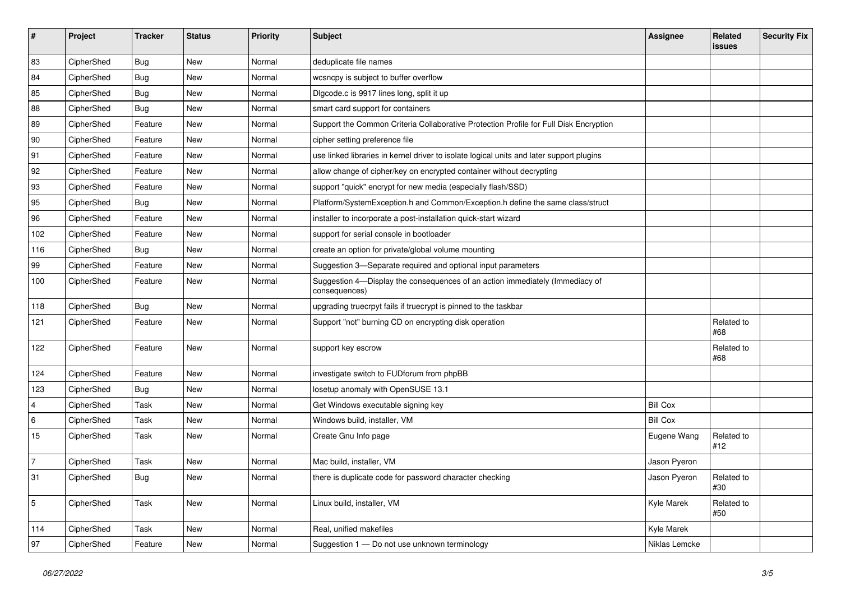| #              | Project    | <b>Tracker</b> | <b>Status</b> | Priority | <b>Subject</b>                                                                                | <b>Assignee</b> | Related<br>issues | <b>Security Fix</b> |
|----------------|------------|----------------|---------------|----------|-----------------------------------------------------------------------------------------------|-----------------|-------------------|---------------------|
| 83             | CipherShed | <b>Bug</b>     | New           | Normal   | deduplicate file names                                                                        |                 |                   |                     |
| 84             | CipherShed | <b>Bug</b>     | New           | Normal   | wcsncpy is subject to buffer overflow                                                         |                 |                   |                     |
| 85             | CipherShed | Bug            | New           | Normal   | Digcode.c is 9917 lines long, split it up                                                     |                 |                   |                     |
| 88             | CipherShed | <b>Bug</b>     | <b>New</b>    | Normal   | smart card support for containers                                                             |                 |                   |                     |
| 89             | CipherShed | Feature        | New           | Normal   | Support the Common Criteria Collaborative Protection Profile for Full Disk Encryption         |                 |                   |                     |
| 90             | CipherShed | Feature        | New           | Normal   | cipher setting preference file                                                                |                 |                   |                     |
| 91             | CipherShed | Feature        | New           | Normal   | use linked libraries in kernel driver to isolate logical units and later support plugins      |                 |                   |                     |
| 92             | CipherShed | Feature        | New           | Normal   | allow change of cipher/key on encrypted container without decrypting                          |                 |                   |                     |
| 93             | CipherShed | Feature        | New           | Normal   | support "quick" encrypt for new media (especially flash/SSD)                                  |                 |                   |                     |
| 95             | CipherShed | <b>Bug</b>     | New           | Normal   | Platform/SystemException.h and Common/Exception.h define the same class/struct                |                 |                   |                     |
| 96             | CipherShed | Feature        | New           | Normal   | installer to incorporate a post-installation quick-start wizard                               |                 |                   |                     |
| 102            | CipherShed | Feature        | New           | Normal   | support for serial console in bootloader                                                      |                 |                   |                     |
| 116            | CipherShed | <b>Bug</b>     | New           | Normal   | create an option for private/global volume mounting                                           |                 |                   |                     |
| 99             | CipherShed | Feature        | New           | Normal   | Suggestion 3-Separate required and optional input parameters                                  |                 |                   |                     |
| 100            | CipherShed | Feature        | New           | Normal   | Suggestion 4-Display the consequences of an action immediately (Immediacy of<br>consequences) |                 |                   |                     |
| 118            | CipherShed | Bug            | <b>New</b>    | Normal   | upgrading truecrpyt fails if truecrypt is pinned to the taskbar                               |                 |                   |                     |
| 121            | CipherShed | Feature        | New           | Normal   | Support "not" burning CD on encrypting disk operation                                         |                 | Related to<br>#68 |                     |
| 122            | CipherShed | Feature        | New           | Normal   | support key escrow                                                                            |                 | Related to<br>#68 |                     |
| 124            | CipherShed | Feature        | New           | Normal   | investigate switch to FUDforum from phpBB                                                     |                 |                   |                     |
| 123            | CipherShed | <b>Bug</b>     | New           | Normal   | losetup anomaly with OpenSUSE 13.1                                                            |                 |                   |                     |
| $\overline{4}$ | CipherShed | Task           | New           | Normal   | Get Windows executable signing key                                                            | <b>Bill Cox</b> |                   |                     |
| 6              | CipherShed | Task           | New           | Normal   | Windows build, installer, VM                                                                  | <b>Bill Cox</b> |                   |                     |
| 15             | CipherShed | Task           | New           | Normal   | Create Gnu Info page                                                                          | Eugene Wang     | Related to<br>#12 |                     |
| $\overline{7}$ | CipherShed | Task           | New           | Normal   | Mac build, installer, VM                                                                      | Jason Pyeron    |                   |                     |
| 31             | CipherShed | <b>Bug</b>     | New           | Normal   | there is duplicate code for password character checking                                       | Jason Pyeron    | Related to<br>#30 |                     |
| 5              | CipherShed | Task           | New           | Normal   | Linux build, installer, VM                                                                    | Kyle Marek      | Related to<br>#50 |                     |
| 114            | CipherShed | Task           | New           | Normal   | Real, unified makefiles                                                                       | Kyle Marek      |                   |                     |
| 97             | CipherShed | Feature        | New           | Normal   | Suggestion 1 - Do not use unknown terminology                                                 | Niklas Lemcke   |                   |                     |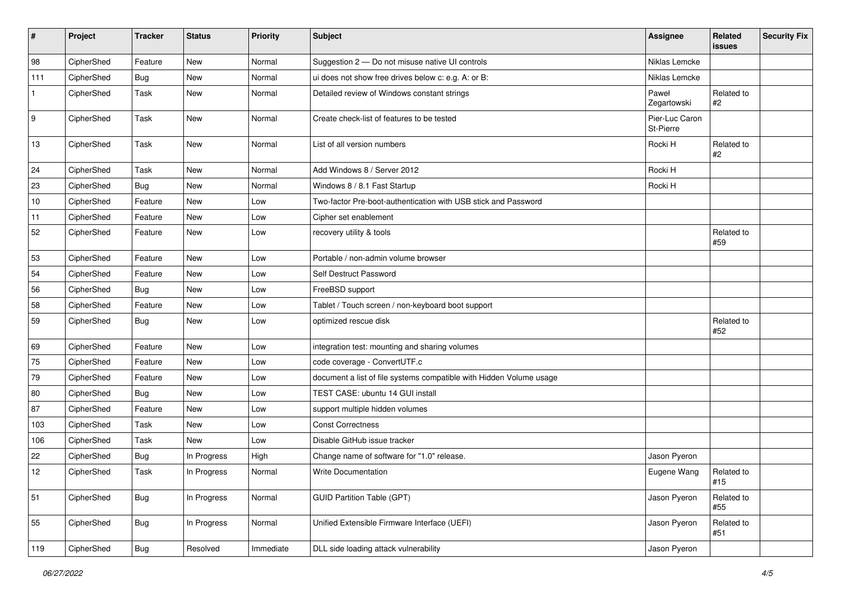| #            | Project    | <b>Tracker</b> | <b>Status</b> | <b>Priority</b> | <b>Subject</b>                                                      | Assignee                    | Related<br>issues   | <b>Security Fix</b> |
|--------------|------------|----------------|---------------|-----------------|---------------------------------------------------------------------|-----------------------------|---------------------|---------------------|
| 98           | CipherShed | Feature        | New           | Normal          | Suggestion 2 - Do not misuse native UI controls                     | Niklas Lemcke               |                     |                     |
| 111          | CipherShed | Bug            | New           | Normal          | ui does not show free drives below c: e.g. A: or B:                 | Niklas Lemcke               |                     |                     |
| $\mathbf{1}$ | CipherShed | Task           | New           | Normal          | Detailed review of Windows constant strings                         | Paweł<br>Zegartowski        | Related to<br>$\#2$ |                     |
| 9            | CipherShed | Task           | New           | Normal          | Create check-list of features to be tested                          | Pier-Luc Caron<br>St-Pierre |                     |                     |
| 13           | CipherShed | Task           | New           | Normal          | List of all version numbers                                         | Rocki H                     | Related to<br>#2    |                     |
| 24           | CipherShed | Task           | New           | Normal          | Add Windows 8 / Server 2012                                         | Rocki H                     |                     |                     |
| 23           | CipherShed | Bug            | New           | Normal          | Windows 8 / 8.1 Fast Startup                                        | Rocki H                     |                     |                     |
| 10           | CipherShed | Feature        | New           | Low             | Two-factor Pre-boot-authentication with USB stick and Password      |                             |                     |                     |
| 11           | CipherShed | Feature        | New           | Low             | Cipher set enablement                                               |                             |                     |                     |
| 52           | CipherShed | Feature        | New           | Low             | recovery utility & tools                                            |                             | Related to<br>#59   |                     |
| 53           | CipherShed | Feature        | New           | Low             | Portable / non-admin volume browser                                 |                             |                     |                     |
| 54           | CipherShed | Feature        | New           | Low             | Self Destruct Password                                              |                             |                     |                     |
| 56           | CipherShed | Bug            | New           | Low             | FreeBSD support                                                     |                             |                     |                     |
| 58           | CipherShed | Feature        | New           | Low             | Tablet / Touch screen / non-keyboard boot support                   |                             |                     |                     |
| 59           | CipherShed | <b>Bug</b>     | New           | Low             | optimized rescue disk                                               |                             | Related to<br>#52   |                     |
| 69           | CipherShed | Feature        | New           | Low             | integration test: mounting and sharing volumes                      |                             |                     |                     |
| 75           | CipherShed | Feature        | <b>New</b>    | Low             | code coverage - ConvertUTF.c                                        |                             |                     |                     |
| 79           | CipherShed | Feature        | New           | Low             | document a list of file systems compatible with Hidden Volume usage |                             |                     |                     |
| 80           | CipherShed | Bug            | <b>New</b>    | Low             | TEST CASE: ubuntu 14 GUI install                                    |                             |                     |                     |
| 87           | CipherShed | Feature        | New           | Low             | support multiple hidden volumes                                     |                             |                     |                     |
| 103          | CipherShed | Task           | New           | Low             | <b>Const Correctness</b>                                            |                             |                     |                     |
| 106          | CipherShed | Task           | New           | Low             | Disable GitHub issue tracker                                        |                             |                     |                     |
| 22           | CipherShed | <b>Bug</b>     | In Progress   | High            | Change name of software for "1.0" release.                          | Jason Pyeron                |                     |                     |
| 12           | CipherShed | Task           | In Progress   | Normal          | Write Documentation                                                 | Eugene Wang                 | Related to<br>#15   |                     |
| 51           | CipherShed | <b>Bug</b>     | In Progress   | Normal          | <b>GUID Partition Table (GPT)</b>                                   | Jason Pyeron                | Related to<br>#55   |                     |
| 55           | CipherShed | <b>Bug</b>     | In Progress   | Normal          | Unified Extensible Firmware Interface (UEFI)                        | Jason Pyeron                | Related to<br>#51   |                     |
| 119          | CipherShed | Bug            | Resolved      | Immediate       | DLL side loading attack vulnerability                               | Jason Pyeron                |                     |                     |